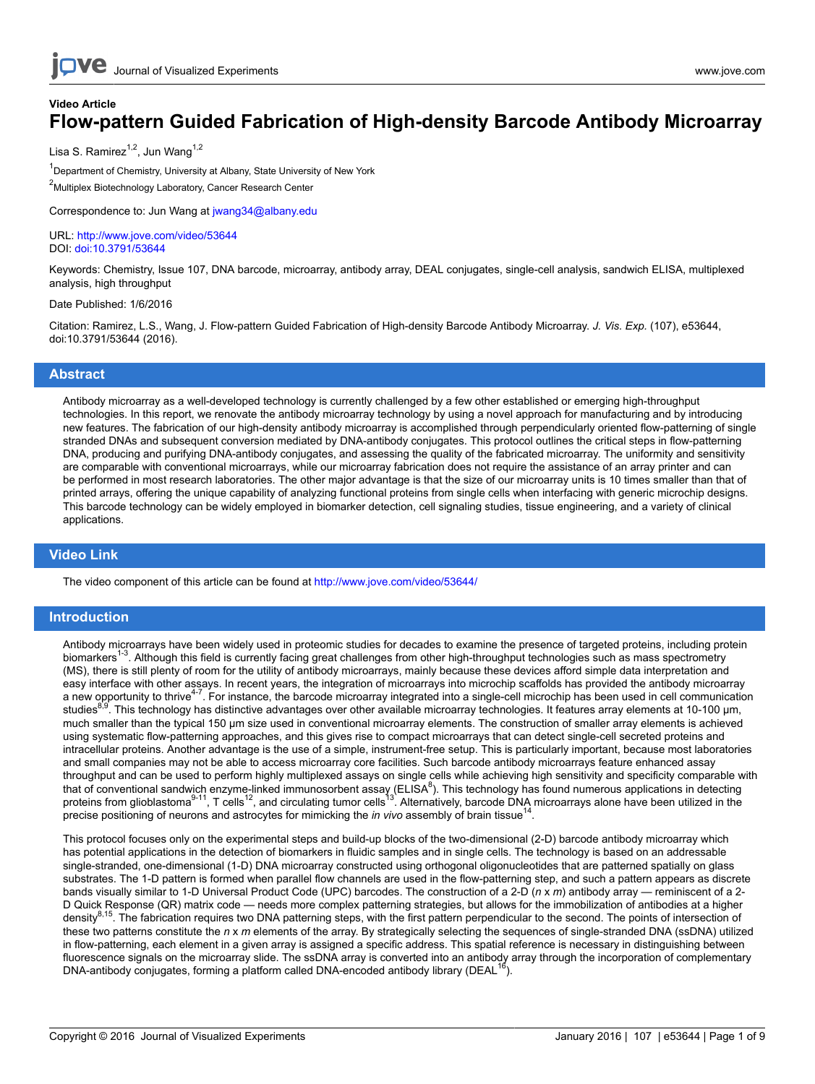# **Video Article Flow-pattern Guided Fabrication of High-density Barcode Antibody Microarray**

Lisa S. Ramirez<sup>1,2</sup>, Jun Wang<sup>1,2</sup>

<sup>1</sup>Department of Chemistry, University at Albany, State University of New York <sup>2</sup>Multiplex Biotechnology Laboratory, Cancer Research Center

Correspondence to: Jun Wang at [jwang34@albany.edu](mailto:jwang34@albany.edu)

URL:<http://www.jove.com/video/53644> DOI: [doi:10.3791/53644](http://dx.doi.org/10.3791/53644)

Keywords: Chemistry, Issue 107, DNA barcode, microarray, antibody array, DEAL conjugates, single-cell analysis, sandwich ELISA, multiplexed analysis, high throughput

Date Published: 1/6/2016

Citation: Ramirez, L.S., Wang, J. Flow-pattern Guided Fabrication of High-density Barcode Antibody Microarray. *J. Vis. Exp.* (107), e53644, doi:10.3791/53644 (2016).

### **Abstract**

Antibody microarray as a well-developed technology is currently challenged by a few other established or emerging high-throughput technologies. In this report, we renovate the antibody microarray technology by using a novel approach for manufacturing and by introducing new features. The fabrication of our high-density antibody microarray is accomplished through perpendicularly oriented flow-patterning of single stranded DNAs and subsequent conversion mediated by DNA-antibody conjugates. This protocol outlines the critical steps in flow-patterning DNA, producing and purifying DNA-antibody conjugates, and assessing the quality of the fabricated microarray. The uniformity and sensitivity are comparable with conventional microarrays, while our microarray fabrication does not require the assistance of an array printer and can be performed in most research laboratories. The other major advantage is that the size of our microarray units is 10 times smaller than that of printed arrays, offering the unique capability of analyzing functional proteins from single cells when interfacing with generic microchip designs. This barcode technology can be widely employed in biomarker detection, cell signaling studies, tissue engineering, and a variety of clinical applications.

### **Video Link**

The video component of this article can be found at <http://www.jove.com/video/53644/>

## **Introduction**

Antibody microarrays have been widely used in proteomic studies for decades to examine the presence of targeted proteins, including protein biomarkers<sup>1-3</sup>. Although this field is currently facing great challenges from other high-throughput technologies such as mass spectrometry (MS), there is still plenty of room for the utility of antibody microarrays, mainly because these devices afford simple data interpretation and easy interface with other assays. In recent years, the integration of microarrays into microchip scaffolds has provided the antibody microarray a new opportunity to thrive<sup>4-7</sup>. For instance, the barcode microarray integrated into a single-cell microchip has been used in cell communication studies<sup>8,9</sup>. This technology has distinctive advantages over other available microarray technologies. It features array elements at 10-100 µm, much smaller than the typical 150 μm size used in conventional microarray elements. The construction of smaller array elements is achieved using systematic flow-patterning approaches, and this gives rise to compact microarrays that can detect single-cell secreted proteins and intracellular proteins. Another advantage is the use of a simple, instrument-free setup. This is particularly important, because most laboratories and small companies may not be able to access microarray core facilities. Such barcode antibody microarrays feature enhanced assay throughput and can be used to perform highly multiplexed assays on single cells while achieving high sensitivity and specificity comparable with that of conventional sandwich enzyme-linked immunosorbent assay (ELISA<sup>8</sup>). This technology has found numerous applications in detecting<br>proteins from glioblastoma<sup>9-11</sup>, T cells<sup>12</sup>, and circulating tumor cells<sup>13</sup>. Alter precise positioning of neurons and astrocytes for mimicking the *in vivo* assembly of brain tissue .

This protocol focuses only on the experimental steps and build-up blocks of the two-dimensional (2-D) barcode antibody microarray which has potential applications in the detection of biomarkers in fluidic samples and in single cells. The technology is based on an addressable single-stranded, one-dimensional (1-D) DNA microarray constructed using orthogonal oligonucleotides that are patterned spatially on glass substrates. The 1-D pattern is formed when parallel flow channels are used in the flow-patterning step, and such a pattern appears as discrete bands visually similar to 1-D Universal Product Code (UPC) barcodes. The construction of a 2-D ( $n \times m$ ) antibody array — reminiscent of a 2-D Quick Response (QR) matrix code — needs more complex patterning strategies, but allows for the immobilization of antibodies at a higher density $8.15$ . The fabrication requires two DNA patterning steps, with the first pattern perpendicular to the second. The points of intersection of these two patterns constitute the *n* x *m* elements of the array. By strategically selecting the sequences of single-stranded DNA (ssDNA) utilized in flow-patterning, each element in a given array is assigned a specific address. This spatial reference is necessary in distinguishing between fluorescence signals on the microarray slide. The ssDNA array is converted into an antibody array through the incorporation of complementary DNA-antibody conjugates, forming a platform called DNA-encoded antibody library (DEAL<sup>16</sup>).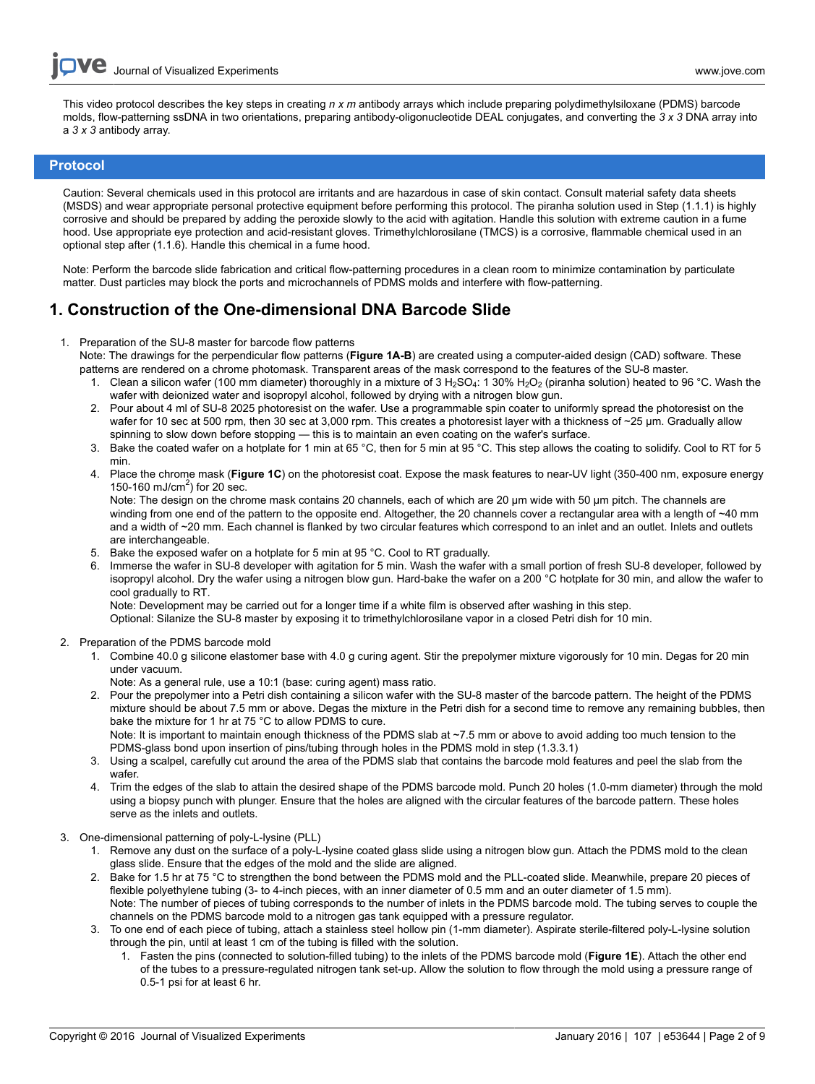This video protocol describes the key steps in creating *n x m* antibody arrays which include preparing polydimethylsiloxane (PDMS) barcode molds, flow-patterning ssDNA in two orientations, preparing antibody-oligonucleotide DEAL conjugates, and converting the *3 x 3* DNA array into a *3 x 3* antibody array.

### **Protocol**

Caution: Several chemicals used in this protocol are irritants and are hazardous in case of skin contact. Consult material safety data sheets (MSDS) and wear appropriate personal protective equipment before performing this protocol. The piranha solution used in Step (1.1.1) is highly corrosive and should be prepared by adding the peroxide slowly to the acid with agitation. Handle this solution with extreme caution in a fume hood. Use appropriate eye protection and acid-resistant gloves. Trimethylchlorosilane (TMCS) is a corrosive, flammable chemical used in an optional step after (1.1.6). Handle this chemical in a fume hood.

Note: Perform the barcode slide fabrication and critical flow-patterning procedures in a clean room to minimize contamination by particulate matter. Dust particles may block the ports and microchannels of PDMS molds and interfere with flow-patterning.

# **1. Construction of the One-dimensional DNA Barcode Slide**

- 1. Preparation of the SU-8 master for barcode flow patterns Note: The drawings for the perpendicular flow patterns (**Figure 1A-B**) are created using a computer-aided design (CAD) software. These
	- patterns are rendered on a chrome photomask. Transparent areas of the mask correspond to the features of the SU-8 master.
		- 1. Clean a silicon wafer (100 mm diameter) thoroughly in a mixture of  $3 H_2SO_4:130\% H_2O_2$  (piranha solution) heated to 96 °C. Wash the wafer with deionized water and isopropyl alcohol, followed by drying with a nitrogen blow gun.
		- 2. Pour about 4 ml of SU-8 2025 photoresist on the wafer. Use a programmable spin coater to uniformly spread the photoresist on the wafer for 10 sec at 500 rpm, then 30 sec at 3,000 rpm. This creates a photoresist layer with a thickness of ~25 µm. Gradually allow spinning to slow down before stopping — this is to maintain an even coating on the wafer's surface.
		- 3. Bake the coated wafer on a hotplate for 1 min at 65 °C, then for 5 min at 95 °C. This step allows the coating to solidify. Cool to RT for 5 min.
		- 4. Place the chrome mask (**Figure 1C**) on the photoresist coat. Expose the mask features to near-UV light (350-400 nm, exposure energy 150-160 mJ/cm<sup>2</sup>) for 20 sec.

Note: The design on the chrome mask contains 20 channels, each of which are 20 µm wide with 50 µm pitch. The channels are winding from one end of the pattern to the opposite end. Altogether, the 20 channels cover a rectangular area with a length of ~40 mm and a width of ~20 mm. Each channel is flanked by two circular features which correspond to an inlet and an outlet. Inlets and outlets are interchangeable.

- 5. Bake the exposed wafer on a hotplate for 5 min at 95 °C. Cool to RT gradually.
- 6. Immerse the wafer in SU-8 developer with agitation for 5 min. Wash the wafer with a small portion of fresh SU-8 developer, followed by isopropyl alcohol. Dry the wafer using a nitrogen blow gun. Hard-bake the wafer on a 200 °C hotplate for 30 min, and allow the wafer to cool gradually to RT.

Note: Development may be carried out for a longer time if a white film is observed after washing in this step.

Optional: Silanize the SU-8 master by exposing it to trimethylchlorosilane vapor in a closed Petri dish for 10 min.

### 2. Preparation of the PDMS barcode mold

- 1. Combine 40.0 g silicone elastomer base with 4.0 g curing agent. Stir the prepolymer mixture vigorously for 10 min. Degas for 20 min under vacuum.
	- Note: As a general rule, use a 10:1 (base: curing agent) mass ratio.
- 2. Pour the prepolymer into a Petri dish containing a silicon wafer with the SU-8 master of the barcode pattern. The height of the PDMS mixture should be about 7.5 mm or above. Degas the mixture in the Petri dish for a second time to remove any remaining bubbles, then bake the mixture for 1 hr at 75 °C to allow PDMS to cure. Note: It is important to maintain enough thickness of the PDMS slab at ~7.5 mm or above to avoid adding too much tension to the

PDMS-glass bond upon insertion of pins/tubing through holes in the PDMS mold in step (1.3.3.1)

- 3. Using a scalpel, carefully cut around the area of the PDMS slab that contains the barcode mold features and peel the slab from the wafer.
- 4. Trim the edges of the slab to attain the desired shape of the PDMS barcode mold. Punch 20 holes (1.0-mm diameter) through the mold using a biopsy punch with plunger. Ensure that the holes are aligned with the circular features of the barcode pattern. These holes serve as the inlets and outlets.
- 3. One-dimensional patterning of poly-L-lysine (PLL)
	- 1. Remove any dust on the surface of a poly-L-lysine coated glass slide using a nitrogen blow gun. Attach the PDMS mold to the clean glass slide. Ensure that the edges of the mold and the slide are aligned.
	- 2. Bake for 1.5 hr at 75 °C to strengthen the bond between the PDMS mold and the PLL-coated slide. Meanwhile, prepare 20 pieces of flexible polyethylene tubing (3- to 4-inch pieces, with an inner diameter of 0.5 mm and an outer diameter of 1.5 mm). Note: The number of pieces of tubing corresponds to the number of inlets in the PDMS barcode mold. The tubing serves to couple the channels on the PDMS barcode mold to a nitrogen gas tank equipped with a pressure regulator.
	- 3. To one end of each piece of tubing, attach a stainless steel hollow pin (1-mm diameter). Aspirate sterile-filtered poly-L-lysine solution through the pin, until at least 1 cm of the tubing is filled with the solution.
		- 1. Fasten the pins (connected to solution-filled tubing) to the inlets of the PDMS barcode mold (**Figure 1E**). Attach the other end of the tubes to a pressure-regulated nitrogen tank set-up. Allow the solution to flow through the mold using a pressure range of 0.5-1 psi for at least 6 hr.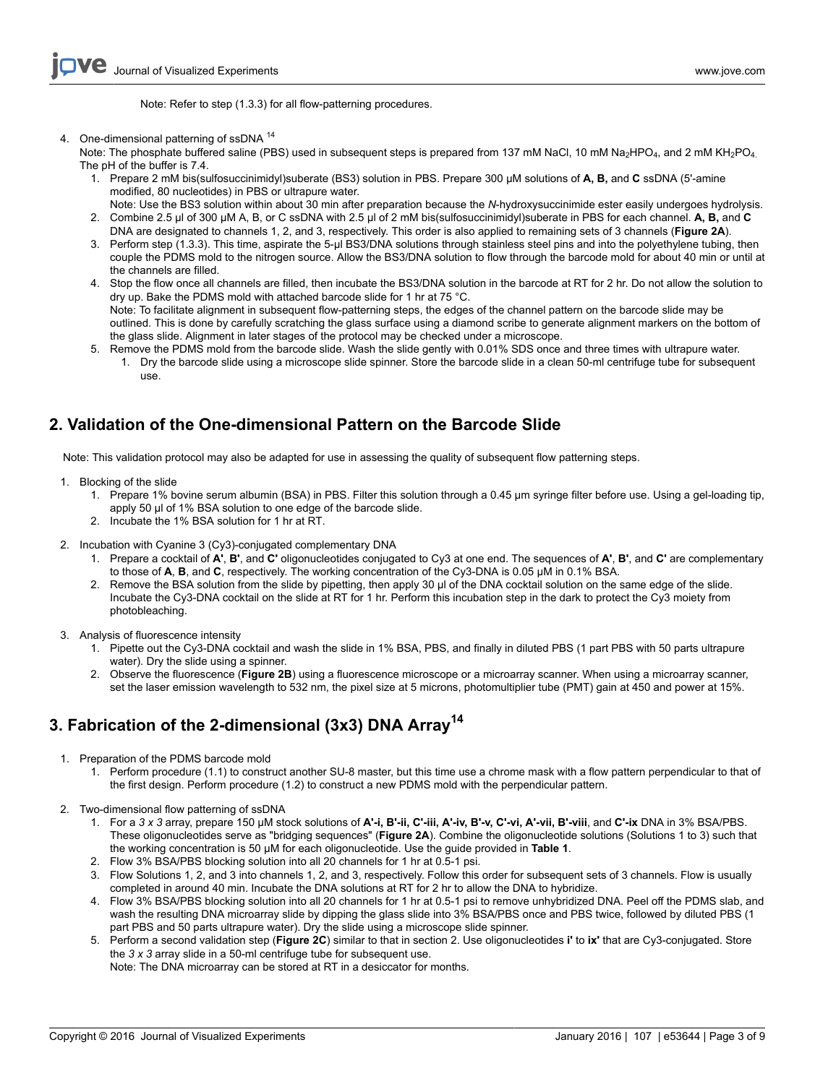Note: Refer to step (1.3.3) for all flow-patterning procedures.

4. One-dimensional patterning of ssDNA<sup>14</sup>

Note: The phosphate buffered saline (PBS) used in subsequent steps is prepared from 137 mM NaCl, 10 mM Na<sub>2</sub>HPO<sub>4</sub>, and 2 mM KH<sub>2</sub>PO<sub>4</sub> The pH of the buffer is 7.4.

- 1. Prepare 2 mM bis(sulfosuccinimidyl)suberate (BS3) solution in PBS. Prepare 300 µM solutions of **A, B,** and **C** ssDNA (5'-amine modified, 80 nucleotides) in PBS or ultrapure water.
- Note: Use the BS3 solution within about 30 min after preparation because the *N*-hydroxysuccinimide ester easily undergoes hydrolysis. 2. Combine 2.5 µl of 300 µM A, B, or C ssDNA with 2.5 µl of 2 mM bis(sulfosuccinimidyl)suberate in PBS for each channel. **A, B,** and **C**
- DNA are designated to channels 1, 2, and 3, respectively. This order is also applied to remaining sets of 3 channels (**Figure 2A**). 3. Perform step (1.3.3). This time, aspirate the 5-µl BS3/DNA solutions through stainless steel pins and into the polyethylene tubing, then couple the PDMS mold to the nitrogen source. Allow the BS3/DNA solution to flow through the barcode mold for about 40 min or until at the channels are filled.
- 4. Stop the flow once all channels are filled, then incubate the BS3/DNA solution in the barcode at RT for 2 hr. Do not allow the solution to dry up. Bake the PDMS mold with attached barcode slide for 1 hr at 75 °C. Note: To facilitate alignment in subsequent flow-patterning steps, the edges of the channel pattern on the barcode slide may be outlined. This is done by carefully scratching the glass surface using a diamond scribe to generate alignment markers on the bottom of the glass slide. Alignment in later stages of the protocol may be checked under a microscope.
- 5. Remove the PDMS mold from the barcode slide. Wash the slide gently with 0.01% SDS once and three times with ultrapure water. 1. Dry the barcode slide using a microscope slide spinner. Store the barcode slide in a clean 50-ml centrifuge tube for subsequent use.

# **2. Validation of the One-dimensional Pattern on the Barcode Slide**

Note: This validation protocol may also be adapted for use in assessing the quality of subsequent flow patterning steps.

- 1. Blocking of the slide
	- 1. Prepare 1% bovine serum albumin (BSA) in PBS. Filter this solution through a 0.45 µm syringe filter before use. Using a gel-loading tip, apply 50 µl of 1% BSA solution to one edge of the barcode slide.
	- 2. Incubate the 1% BSA solution for 1 hr at RT.
- 2. Incubation with Cyanine 3 (Cy3)-conjugated complementary DNA
	- 1. Prepare a cocktail of **A'**, **B'**, and **C'** oligonucleotides conjugated to Cy3 at one end. The sequences of **A'**, **B'**, and **C'** are complementary to those of **A**, **B**, and **C**, respectively. The working concentration of the Cy3-DNA is 0.05 µM in 0.1% BSA.
	- 2. Remove the BSA solution from the slide by pipetting, then apply 30 µl of the DNA cocktail solution on the same edge of the slide. Incubate the Cy3-DNA cocktail on the slide at RT for 1 hr. Perform this incubation step in the dark to protect the Cy3 moiety from photobleaching.
- 3. Analysis of fluorescence intensity
	- 1. Pipette out the Cy3-DNA cocktail and wash the slide in 1% BSA, PBS, and finally in diluted PBS (1 part PBS with 50 parts ultrapure water). Dry the slide using a spinner.
	- 2. Observe the fluorescence (**Figure 2B**) using a fluorescence microscope or a microarray scanner. When using a microarray scanner, set the laser emission wavelength to 532 nm, the pixel size at 5 microns, photomultiplier tube (PMT) gain at 450 and power at 15%.

# **3. Fabrication of the 2-dimensional (3x3) DNA Array<sup>14</sup>**

- 1. Preparation of the PDMS barcode mold
	- 1. Perform procedure (1.1) to construct another SU-8 master, but this time use a chrome mask with a flow pattern perpendicular to that of the first design. Perform procedure (1.2) to construct a new PDMS mold with the perpendicular pattern.
- 2. Two-dimensional flow patterning of ssDNA
	- 1. For a *3 x 3* array, prepare 150 µM stock solutions of **A'-i, B'-ii, C'-iii, A'-iv, B'-v, C'-vi, A'-vii, B'-viii**, and **C'-ix** DNA in 3% BSA/PBS. These oligonucleotides serve as "bridging sequences" (**Figure 2A**). Combine the oligonucleotide solutions (Solutions 1 to 3) such that the working concentration is 50 µM for each oligonucleotide. Use the guide provided in **Table 1**.
	- 2. Flow 3% BSA/PBS blocking solution into all 20 channels for 1 hr at 0.5-1 psi.
	- 3. Flow Solutions 1, 2, and 3 into channels 1, 2, and 3, respectively. Follow this order for subsequent sets of 3 channels. Flow is usually completed in around 40 min. Incubate the DNA solutions at RT for 2 hr to allow the DNA to hybridize.
	- 4. Flow 3% BSA/PBS blocking solution into all 20 channels for 1 hr at 0.5-1 psi to remove unhybridized DNA. Peel off the PDMS slab, and wash the resulting DNA microarray slide by dipping the glass slide into 3% BSA/PBS once and PBS twice, followed by diluted PBS (1 part PBS and 50 parts ultrapure water). Dry the slide using a microscope slide spinner.
	- 5. Perform a second validation step (**Figure 2C**) similar to that in section 2. Use oligonucleotides **i'** to **ix'** that are Cy3-conjugated. Store the *3 x 3* array slide in a 50-ml centrifuge tube for subsequent use.

Note: The DNA microarray can be stored at RT in a desiccator for months.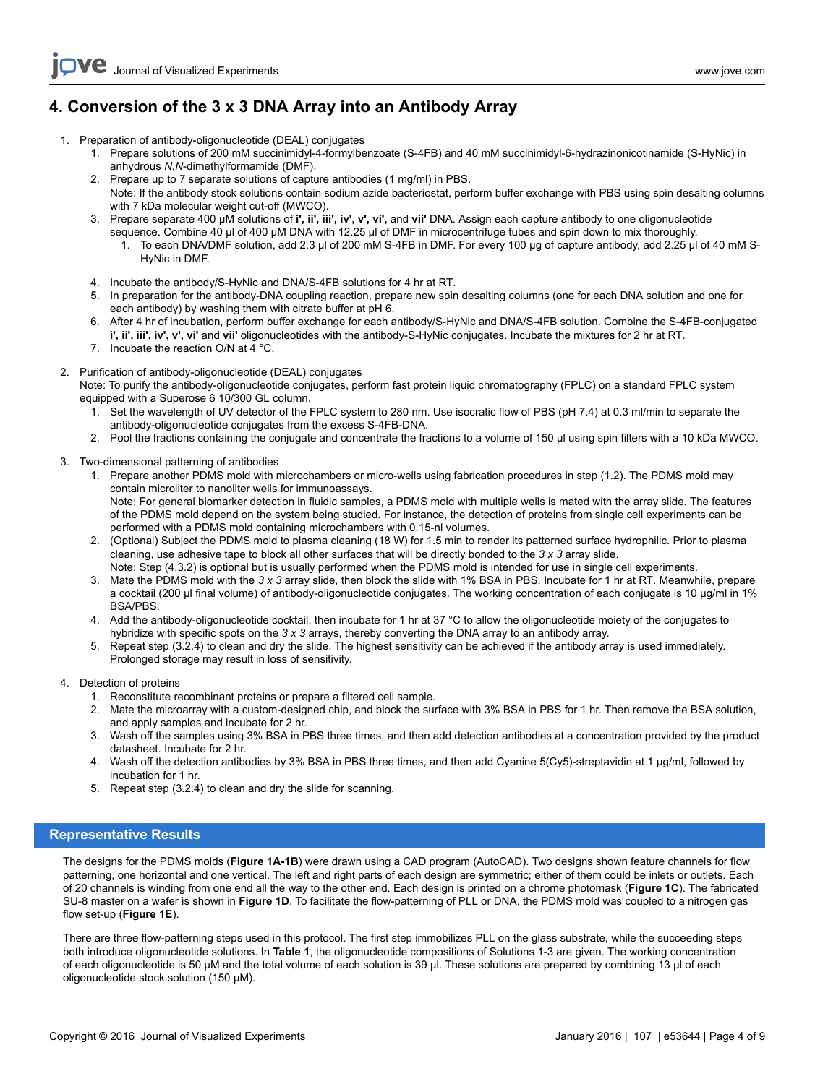# **4. Conversion of the 3 x 3 DNA Array into an Antibody Array**

- 1. Preparation of antibody-oligonucleotide (DEAL) conjugates
	- 1. Prepare solutions of 200 mM succinimidyl-4-formylbenzoate (S-4FB) and 40 mM succinimidyl-6-hydrazinonicotinamide (S-HyNic) in anhydrous *N,N*-dimethylformamide (DMF).
	- 2. Prepare up to 7 separate solutions of capture antibodies (1 mg/ml) in PBS. Note: If the antibody stock solutions contain sodium azide bacteriostat, perform buffer exchange with PBS using spin desalting columns with 7 kDa molecular weight cut-off (MWCO).
	- 3. Prepare separate 400 µM solutions of **i', ii', iii', iv', v', vi',** and **vii'** DNA. Assign each capture antibody to one oligonucleotide sequence. Combine 40 µl of 400 µM DNA with 12.25 µl of DMF in microcentrifuge tubes and spin down to mix thoroughly.
		- 1. To each DNA/DMF solution, add 2.3 µl of 200 mM S-4FB in DMF. For every 100 µg of capture antibody, add 2.25 µl of 40 mM S-HyNic in DMF.
	- 4. Incubate the antibody/S-HyNic and DNA/S-4FB solutions for 4 hr at RT.
	- 5. In preparation for the antibody-DNA coupling reaction, prepare new spin desalting columns (one for each DNA solution and one for each antibody) by washing them with citrate buffer at pH 6.
	- 6. After 4 hr of incubation, perform buffer exchange for each antibody/S-HyNic and DNA/S-4FB solution. Combine the S-4FB-conjugated **i', ii', iii', iv', v', vi'** and **vii'** oligonucleotides with the antibody-S-HyNic conjugates. Incubate the mixtures for 2 hr at RT.
	- 7. Incubate the reaction O/N at 4 °C.
- 2. Purification of antibody-oligonucleotide (DEAL) conjugates

Note: To purify the antibody-oligonucleotide conjugates, perform fast protein liquid chromatography (FPLC) on a standard FPLC system equipped with a Superose 6 10/300 GL column.

- 1. Set the wavelength of UV detector of the FPLC system to 280 nm. Use isocratic flow of PBS (pH 7.4) at 0.3 ml/min to separate the antibody-oligonucleotide conjugates from the excess S-4FB-DNA.
- 2. Pool the fractions containing the conjugate and concentrate the fractions to a volume of 150 µl using spin filters with a 10 kDa MWCO.
- 3. Two-dimensional patterning of antibodies
	- 1. Prepare another PDMS mold with microchambers or micro-wells using fabrication procedures in step (1.2). The PDMS mold may contain microliter to nanoliter wells for immunoassays. Note: For general biomarker detection in fluidic samples, a PDMS mold with multiple wells is mated with the array slide. The features of the PDMS mold depend on the system being studied. For instance, the detection of proteins from single cell experiments can be performed with a PDMS mold containing microchambers with 0.15-nl volumes.
	- 2. (Optional) Subject the PDMS mold to plasma cleaning (18 W) for 1.5 min to render its patterned surface hydrophilic. Prior to plasma cleaning, use adhesive tape to block all other surfaces that will be directly bonded to the *3 x 3* array slide.
		- Note: Step (4.3.2) is optional but is usually performed when the PDMS mold is intended for use in single cell experiments.
	- 3. Mate the PDMS mold with the *3 x 3* array slide, then block the slide with 1% BSA in PBS. Incubate for 1 hr at RT. Meanwhile, prepare a cocktail (200 µl final volume) of antibody-oligonucleotide conjugates. The working concentration of each conjugate is 10 µg/ml in 1% BSA/PBS.
	- 4. Add the antibody-oligonucleotide cocktail, then incubate for 1 hr at 37 °C to allow the oligonucleotide moiety of the conjugates to hybridize with specific spots on the *3 x 3* arrays, thereby converting the DNA array to an antibody array.
	- 5. Repeat step (3.2.4) to clean and dry the slide. The highest sensitivity can be achieved if the antibody array is used immediately. Prolonged storage may result in loss of sensitivity.
- 4. Detection of proteins
	- 1. Reconstitute recombinant proteins or prepare a filtered cell sample.
	- 2. Mate the microarray with a custom-designed chip, and block the surface with 3% BSA in PBS for 1 hr. Then remove the BSA solution, and apply samples and incubate for 2 hr.
	- 3. Wash off the samples using 3% BSA in PBS three times, and then add detection antibodies at a concentration provided by the product datasheet. Incubate for 2 hr.
	- 4. Wash off the detection antibodies by 3% BSA in PBS three times, and then add Cyanine 5(Cy5)-streptavidin at 1 µg/ml, followed by incubation for 1 hr.
	- 5. Repeat step (3.2.4) to clean and dry the slide for scanning.

## **Representative Results**

The designs for the PDMS molds (**Figure 1A-1B**) were drawn using a CAD program (AutoCAD). Two designs shown feature channels for flow patterning, one horizontal and one vertical. The left and right parts of each design are symmetric; either of them could be inlets or outlets. Each of 20 channels is winding from one end all the way to the other end. Each design is printed on a chrome photomask (**Figure 1C**). The fabricated SU-8 master on a wafer is shown in **Figure 1D**. To facilitate the flow-patterning of PLL or DNA, the PDMS mold was coupled to a nitrogen gas flow set-up (**Figure 1E**).

There are three flow-patterning steps used in this protocol. The first step immobilizes PLL on the glass substrate, while the succeeding steps both introduce oligonucleotide solutions. In **Table 1**, the oligonucleotide compositions of Solutions 1-3 are given. The working concentration of each oligonucleotide is 50 µM and the total volume of each solution is 39 µl. These solutions are prepared by combining 13 µl of each oligonucleotide stock solution (150 µM).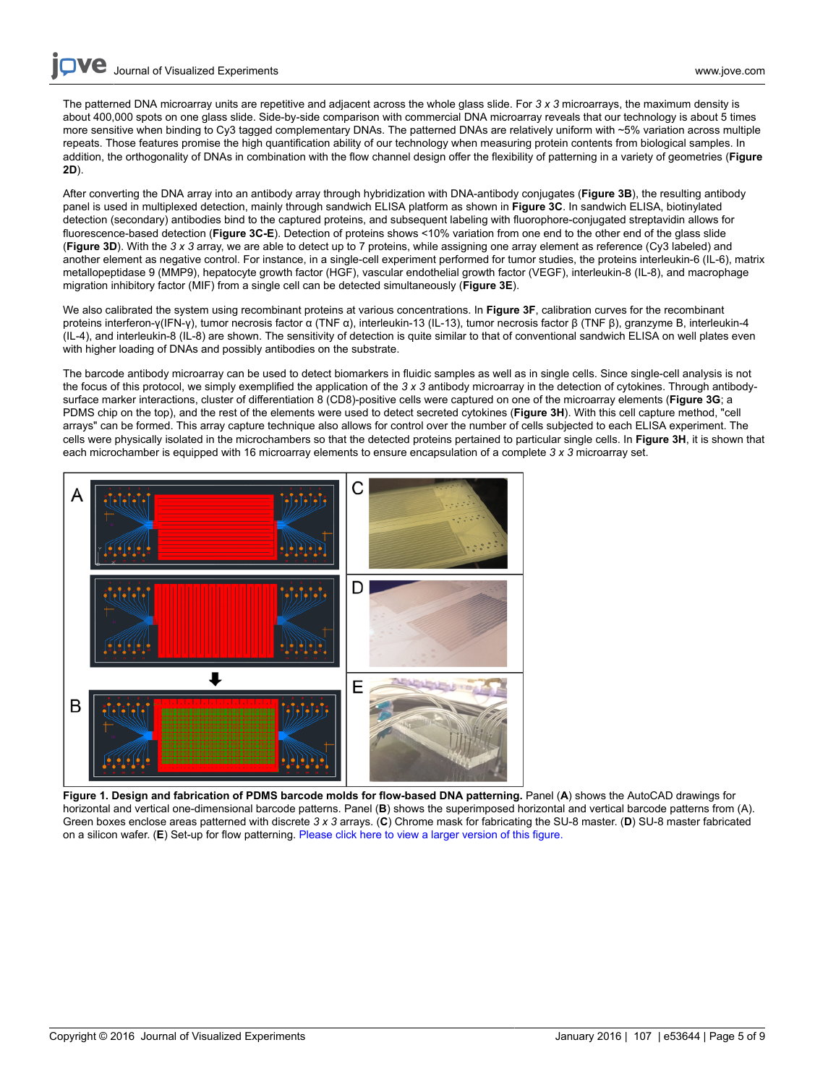The patterned DNA microarray units are repetitive and adjacent across the whole glass slide. For *3 x 3* microarrays, the maximum density is about 400,000 spots on one glass slide. Side-by-side comparison with commercial DNA microarray reveals that our technology is about 5 times more sensitive when binding to Cv3 tagged complementary DNAs. The patterned DNAs are relatively uniform with ~5% variation across multiple repeats. Those features promise the high quantification ability of our technology when measuring protein contents from biological samples. In addition, the orthogonality of DNAs in combination with the flow channel design offer the flexibility of patterning in a variety of geometries (**Figure 2D**).

After converting the DNA array into an antibody array through hybridization with DNA-antibody conjugates (**Figure 3B**), the resulting antibody panel is used in multiplexed detection, mainly through sandwich ELISA platform as shown in **Figure 3C**. In sandwich ELISA, biotinylated detection (secondary) antibodies bind to the captured proteins, and subsequent labeling with fluorophore-conjugated streptavidin allows for fluorescence-based detection (**Figure 3C-E**). Detection of proteins shows <10% variation from one end to the other end of the glass slide (**Figure 3D**). With the *3 x 3* array, we are able to detect up to 7 proteins, while assigning one array element as reference (Cy3 labeled) and another element as negative control. For instance, in a single-cell experiment performed for tumor studies, the proteins interleukin-6 (IL-6), matrix metallopeptidase 9 (MMP9), hepatocyte growth factor (HGF), vascular endothelial growth factor (VEGF), interleukin-8 (IL-8), and macrophage migration inhibitory factor (MIF) from a single cell can be detected simultaneously (**Figure 3E**).

We also calibrated the system using recombinant proteins at various concentrations. In **Figure 3F**, calibration curves for the recombinant proteins interferon-γ(IFN-γ), tumor necrosis factor α (TNF α), interleukin-13 (IL-13), tumor necrosis factor β (TNF β), granzyme B, interleukin-4 (IL-4), and interleukin-8 (IL-8) are shown. The sensitivity of detection is quite similar to that of conventional sandwich ELISA on well plates even with higher loading of DNAs and possibly antibodies on the substrate.

The barcode antibody microarray can be used to detect biomarkers in fluidic samples as well as in single cells. Since single-cell analysis is not the focus of this protocol, we simply exemplified the application of the *3 x 3* antibody microarray in the detection of cytokines. Through antibodysurface marker interactions, cluster of differentiation 8 (CD8)-positive cells were captured on one of the microarray elements (**Figure 3G**; a PDMS chip on the top), and the rest of the elements were used to detect secreted cytokines (**Figure 3H**). With this cell capture method, "cell arrays" can be formed. This array capture technique also allows for control over the number of cells subjected to each ELISA experiment. The cells were physically isolated in the microchambers so that the detected proteins pertained to particular single cells. In **Figure 3H**, it is shown that each microchamber is equipped with 16 microarray elements to ensure encapsulation of a complete *3 x 3* microarray set.



**Figure 1. Design and fabrication of PDMS barcode molds for flow-based DNA patterning.** Panel (**A**) shows the AutoCAD drawings for horizontal and vertical one-dimensional barcode patterns. Panel (**B**) shows the superimposed horizontal and vertical barcode patterns from (A). Green boxes enclose areas patterned with discrete *3 x 3* arrays. (**C**) Chrome mask for fabricating the SU-8 master. (**D**) SU-8 master fabricated on a silicon wafer. (**E**) Set-up for flow patterning. [Please click here to view a larger version of this figure.](https://www.jove.com/files/ftp_upload/53644/53644fig1large.jpg)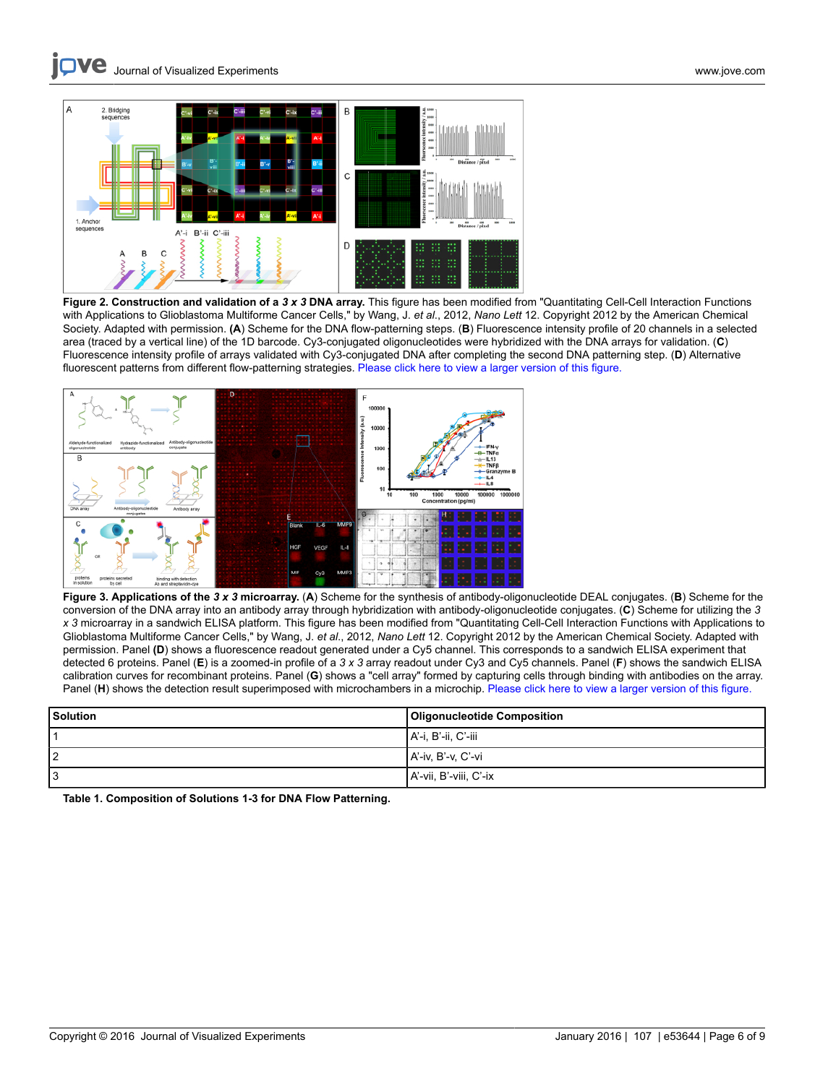

**Figure 2. Construction and validation of a** *3 x 3* **DNA array.** This figure has been modified from "Quantitating Cell-Cell Interaction Functions with Applications to Glioblastoma Multiforme Cancer Cells," by Wang, J. *et al*., 2012, *Nano Lett* 12. Copyright 2012 by the American Chemical Society. Adapted with permission. **(A**) Scheme for the DNA flow-patterning steps. (**B**) Fluorescence intensity profile of 20 channels in a selected area (traced by a vertical line) of the 1D barcode. Cy3-conjugated oligonucleotides were hybridized with the DNA arrays for validation. (**C**) Fluorescence intensity profile of arrays validated with Cy3-conjugated DNA after completing the second DNA patterning step. (**D**) Alternative fluorescent patterns from different flow-patterning strategies. [Please click here to view a larger version of this figure.](https://www.jove.com/files/ftp_upload/53644/53644fig2large.jpg)



**Figure 3. Applications of the** *3 x 3* **microarray.** (**A**) Scheme for the synthesis of antibody-oligonucleotide DEAL conjugates. (**B**) Scheme for the conversion of the DNA array into an antibody array through hybridization with antibody-oligonucleotide conjugates. (**C**) Scheme for utilizing the *3 x 3* microarray in a sandwich ELISA platform. This figure has been modified from "Quantitating Cell-Cell Interaction Functions with Applications to Glioblastoma Multiforme Cancer Cells," by Wang, J. *et al*., 2012, *Nano Lett* 12. Copyright 2012 by the American Chemical Society. Adapted with permission. Panel **(D**) shows a fluorescence readout generated under a Cy5 channel. This corresponds to a sandwich ELISA experiment that detected 6 proteins. Panel (**E**) is a zoomed-in profile of a *3 x 3* array readout under Cy3 and Cy5 channels. Panel (**F**) shows the sandwich ELISA calibration curves for recombinant proteins. Panel (**G**) shows a "cell array" formed by capturing cells through binding with antibodies on the array. Panel (H) shows the detection result superimposed with microchambers in a microchip. [Please click here to view a larger version of this figure.](https://www.jove.com/files/ftp_upload/53644/53644fig3large.jpg)

| <b>Solution</b> | <b>Oligonucleotide Composition</b> |
|-----------------|------------------------------------|
|                 | A'-i, B'-ii, C'-iii                |
| ົ<br>∠          | A'-iv, B'-v, C'-vi                 |
| 3               | A'-vii, B'-viii, C'-ix             |

**Table 1. Composition of Solutions 1-3 for DNA Flow Patterning.**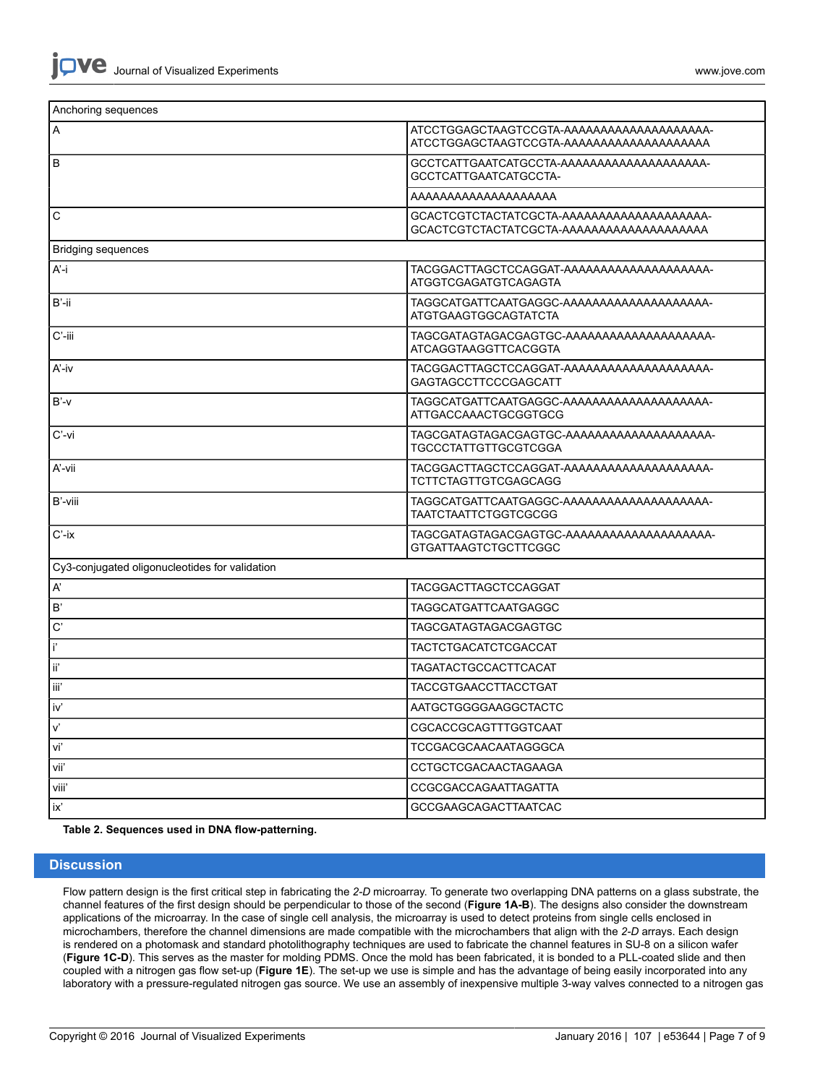| Anchoring sequences                            |                             |
|------------------------------------------------|-----------------------------|
| A                                              |                             |
| B                                              | GCCTCATTGAATCATGCCTA-       |
|                                                | AAAAAAAAAAAAAAAAAAA         |
| C                                              |                             |
| <b>Bridging sequences</b>                      |                             |
| A'-i                                           | <b>ATGGTCGAGATGTCAGAGTA</b> |
| $B'-ii$                                        | <b>ATGTGAAGTGGCAGTATCTA</b> |
| C'-iii                                         | ATCAGGTAAGGTTCACGGTA        |
| $A'-iv$                                        | GAGTAGCCTTCCCGAGCATT        |
| $B' - V$                                       | <b>ATTGACCAAACTGCGGTGCG</b> |
| $C'-vi$                                        | TGCCCTATTGTTGCGTCGGA        |
| A'-vii                                         | TCTTCTAGTTGTCGAGCAGG        |
| B'-viii                                        | TAATCTAATTCTGGTCGCGG        |
| $C'-iX$                                        | <b>GTGATTAAGTCTGCTTCGGC</b> |
| Cy3-conjugated oligonucleotides for validation |                             |
| A'                                             | TACGGACTTAGCTCCAGGAT        |
| B,                                             | <b>TAGGCATGATTCAATGAGGC</b> |
| $\mathrm{C}^\prime$                            | <b>TAGCGATAGTAGACGAGTGC</b> |
| i'                                             | TACTCTGACATCTCGACCAT        |
| ï                                              | TAGATACTGCCACTTCACAT        |
| iii'                                           | TACCGTGAACCTTACCTGAT        |
| iv'                                            | AATGCTGGGGAAGGCTACTC        |
| v'                                             | CGCACCGCAGTTTGGTCAAT        |
| vi'                                            | TCCGACGCAACAATAGGGCA        |
| vii'                                           | <b>CCTGCTCGACAACTAGAAGA</b> |
| viii'                                          | <b>CCGCGACCAGAATTAGATTA</b> |
| ix'                                            | GCCGAAGCAGACTTAATCAC        |

**Table 2. Sequences used in DNA flow-patterning.**

## **Discussion**

Flow pattern design is the first critical step in fabricating the *2-D* microarray. To generate two overlapping DNA patterns on a glass substrate, the channel features of the first design should be perpendicular to those of the second (**Figure 1A-B**). The designs also consider the downstream applications of the microarray. In the case of single cell analysis, the microarray is used to detect proteins from single cells enclosed in microchambers, therefore the channel dimensions are made compatible with the microchambers that align with the *2-D* arrays. Each design is rendered on a photomask and standard photolithography techniques are used to fabricate the channel features in SU-8 on a silicon wafer (**Figure 1C-D**). This serves as the master for molding PDMS. Once the mold has been fabricated, it is bonded to a PLL-coated slide and then coupled with a nitrogen gas flow set-up (**Figure 1E**). The set-up we use is simple and has the advantage of being easily incorporated into any laboratory with a pressure-regulated nitrogen gas source. We use an assembly of inexpensive multiple 3-way valves connected to a nitrogen gas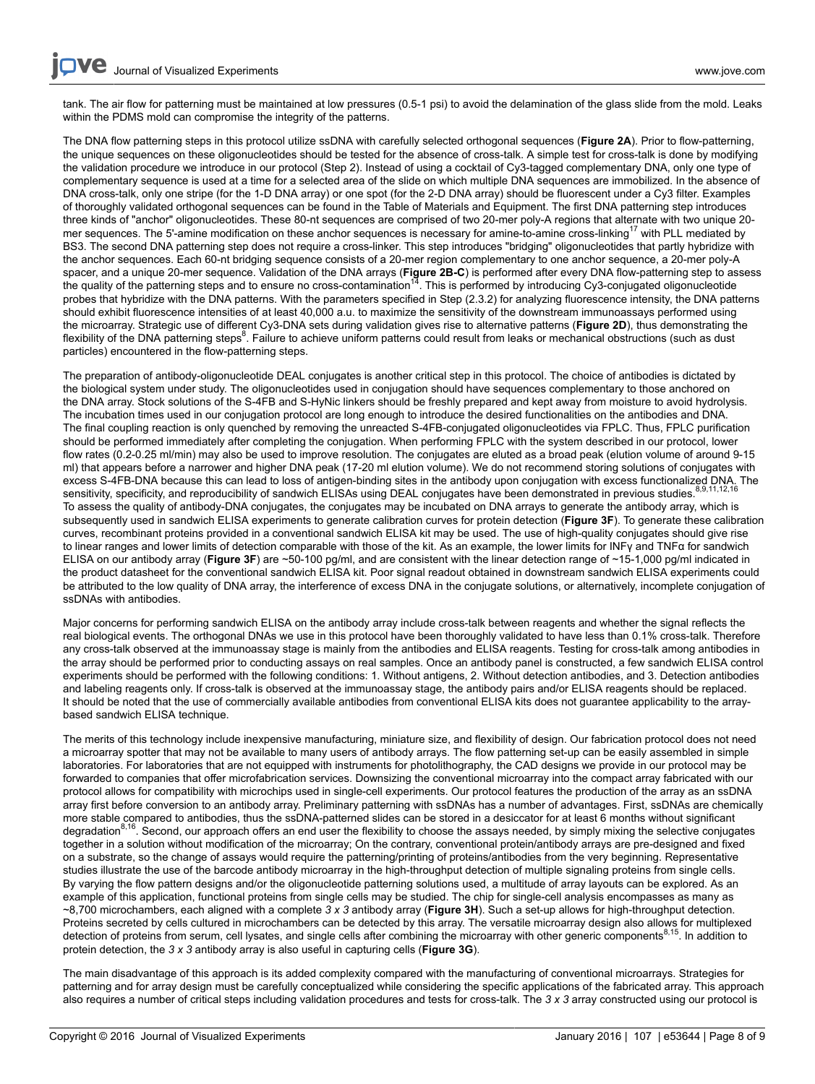tank. The air flow for patterning must be maintained at low pressures (0.5-1 psi) to avoid the delamination of the glass slide from the mold. Leaks within the PDMS mold can compromise the integrity of the patterns.

The DNA flow patterning steps in this protocol utilize ssDNA with carefully selected orthogonal sequences (**Figure 2A**). Prior to flow-patterning, the unique sequences on these oligonucleotides should be tested for the absence of cross-talk. A simple test for cross-talk is done by modifying the validation procedure we introduce in our protocol (Step 2). Instead of using a cocktail of Cy3-tagged complementary DNA, only one type of complementary sequence is used at a time for a selected area of the slide on which multiple DNA sequences are immobilized. In the absence of DNA cross-talk, only one stripe (for the 1-D DNA array) or one spot (for the 2-D DNA array) should be fluorescent under a Cy3 filter. Examples of thoroughly validated orthogonal sequences can be found in the Table of Materials and Equipment. The first DNA patterning step introduces three kinds of "anchor" oligonucleotides. These 80-nt sequences are comprised of two 20-mer poly-A regions that alternate with two unique 20 mer sequences. The 5'-amine modification on these anchor sequences is necessary for amine-to-amine cross-linking<sup>17</sup> with PLL mediated by BS3. The second DNA patterning step does not require a cross-linker. This step introduces "bridging" oligonucleotides that partly hybridize with the anchor sequences. Each 60-nt bridging sequence consists of a 20-mer region complementary to one anchor sequence, a 20-mer poly-A spacer, and a unique 20-mer sequence. Validation of the DNA arrays (**Figure 2B-C**) is performed after every DNA flow-patterning step to assess the quality of the patterning steps and to ensure no cross-contamination<sup>14</sup>. This is performed by introducing Cy3-conjugated oligonucleotide probes that hybridize with the DNA patterns. With the parameters specified in Step (2.3.2) for analyzing fluorescence intensity, the DNA patterns should exhibit fluorescence intensities of at least 40,000 a.u. to maximize the sensitivity of the downstream immunoassays performed using the microarray. Strategic use of different Cy3-DNA sets during validation gives rise to alternative patterns (**Figure 2D**), thus demonstrating the flexibility of the DNA patterning steps<sup>8</sup>. Failure to achieve uniform patterns could result from leaks or mechanical obstructions (such as dust particles) encountered in the flow-patterning steps.

The preparation of antibody-oligonucleotide DEAL conjugates is another critical step in this protocol. The choice of antibodies is dictated by the biological system under study. The oligonucleotides used in conjugation should have sequences complementary to those anchored on the DNA array. Stock solutions of the S-4FB and S-HyNic linkers should be freshly prepared and kept away from moisture to avoid hydrolysis. The incubation times used in our conjugation protocol are long enough to introduce the desired functionalities on the antibodies and DNA. The final coupling reaction is only quenched by removing the unreacted S-4FB-conjugated oligonucleotides via FPLC. Thus, FPLC purification should be performed immediately after completing the conjugation. When performing FPLC with the system described in our protocol, lower flow rates (0.2-0.25 ml/min) may also be used to improve resolution. The conjugates are eluted as a broad peak (elution volume of around 9-15 ml) that appears before a narrower and higher DNA peak (17-20 ml elution volume). We do not recommend storing solutions of conjugates with excess S-4FB-DNA because this can lead to loss of antigen-binding sites in the antibody upon conjugation with excess functionalized DNA. The sensitivity, specificity, and reproducibility of sandwich ELISAs using DEAL conjugates have been demonstrated in previous studies. 8,9,11,12,16 To assess the quality of antibody-DNA conjugates, the conjugates may be incubated on DNA arrays to generate the antibody array, which is subsequently used in sandwich ELISA experiments to generate calibration curves for protein detection (**Figure 3F**). To generate these calibration curves, recombinant proteins provided in a conventional sandwich ELISA kit may be used. The use of high-quality conjugates should give rise to linear ranges and lower limits of detection comparable with those of the kit. As an example, the lower limits for INFγ and TNFα for sandwich ELISA on our antibody array (**Figure 3F**) are ~50-100 pg/ml, and are consistent with the linear detection range of ~15-1,000 pg/ml indicated in the product datasheet for the conventional sandwich ELISA kit. Poor signal readout obtained in downstream sandwich ELISA experiments could be attributed to the low quality of DNA array, the interference of excess DNA in the conjugate solutions, or alternatively, incomplete conjugation of ssDNAs with antibodies.

Major concerns for performing sandwich ELISA on the antibody array include cross-talk between reagents and whether the signal reflects the real biological events. The orthogonal DNAs we use in this protocol have been thoroughly validated to have less than 0.1% cross-talk. Therefore any cross-talk observed at the immunoassay stage is mainly from the antibodies and ELISA reagents. Testing for cross-talk among antibodies in the array should be performed prior to conducting assays on real samples. Once an antibody panel is constructed, a few sandwich ELISA control experiments should be performed with the following conditions: 1. Without antigens, 2. Without detection antibodies, and 3. Detection antibodies and labeling reagents only. If cross-talk is observed at the immunoassay stage, the antibody pairs and/or ELISA reagents should be replaced. It should be noted that the use of commercially available antibodies from conventional ELISA kits does not guarantee applicability to the arraybased sandwich ELISA technique.

The merits of this technology include inexpensive manufacturing, miniature size, and flexibility of design. Our fabrication protocol does not need a microarray spotter that may not be available to many users of antibody arrays. The flow patterning set-up can be easily assembled in simple laboratories. For laboratories that are not equipped with instruments for photolithography, the CAD designs we provide in our protocol may be forwarded to companies that offer microfabrication services. Downsizing the conventional microarray into the compact array fabricated with our protocol allows for compatibility with microchips used in single-cell experiments. Our protocol features the production of the array as an ssDNA array first before conversion to an antibody array. Preliminary patterning with ssDNAs has a number of advantages. First, ssDNAs are chemically more stable compared to antibodies, thus the ssDNA-patterned slides can be stored in a desiccator for at least 6 months without significant<br>degradation<sup>8,16</sup>. Second, our approach offers an end user the flexibility to choo together in a solution without modification of the microarray; On the contrary, conventional protein/antibody arrays are pre-designed and fixed on a substrate, so the change of assays would require the patterning/printing of proteins/antibodies from the very beginning. Representative studies illustrate the use of the barcode antibody microarray in the high-throughput detection of multiple signaling proteins from single cells. By varying the flow pattern designs and/or the oligonucleotide patterning solutions used, a multitude of array layouts can be explored. As an example of this application, functional proteins from single cells may be studied. The chip for single-cell analysis encompasses as many as ~8,700 microchambers, each aligned with a complete *3 x 3* antibody array (**Figure 3H**). Such a set-up allows for high-throughput detection. Proteins secreted by cells cultured in microchambers can be detected by this array. The versatile microarray design also allows for multiplexed detection of proteins from serum, cell lysates, and single cells after combining the microarray with other generic components8,15. In addition to protein detection, the *3 x 3* antibody array is also useful in capturing cells (**Figure 3G**).

The main disadvantage of this approach is its added complexity compared with the manufacturing of conventional microarrays. Strategies for patterning and for array design must be carefully conceptualized while considering the specific applications of the fabricated array. This approach also requires a number of critical steps including validation procedures and tests for cross-talk. The *3 x 3* array constructed using our protocol is